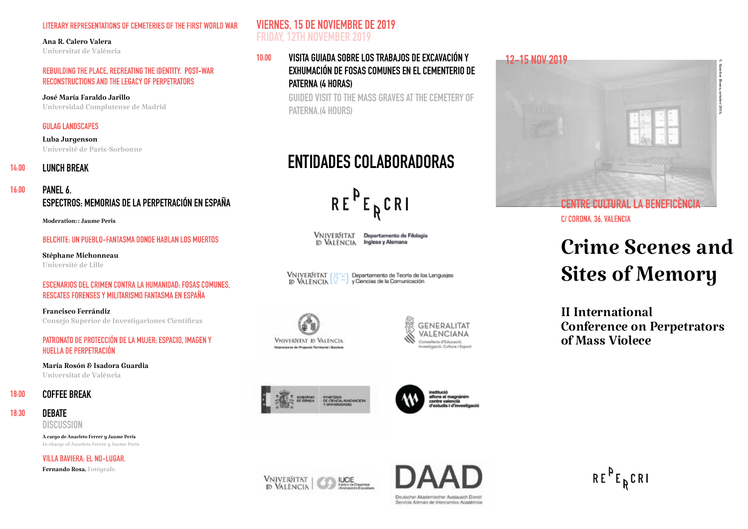#### **LITERARY REPRESENTATIONS OF CEMETERIES OF THE FIRST WORLD WAR**

#### Ana R. Calero Valera

Universitat de València

#### **REBUILDING THE PLACE, RECREATING THE IDENTITY. POST-WAR RECONSTRUCTIONS AND THE LEGACY OF PERPETRATORS**

José María Faraldo Jarillo Universidad Complutense de Madrid

#### **GULAG LANDSCAPES**

Luba Jurgenson Université de Paris-Sorbonne

## **14:00 LUNCH BREAK**

### **16:00 PANEL 6. ESPECTROS: MEMORIAS DE LA PERPETRACIÓN EN ESPAÑA**

Moderation: : Jaume Peris

#### **BELCHITE: UN PUEBLO-FANTASMA DONDE HABLAN LOS MUERTOS**

Stéphane Michonneau Université de Lille

#### **ESCENARIOS DEL CRIMEN CONTRA LA HUMANIDAD: FOSAS COMUNES, RESCATES FORENSES Y MILITARISMO FANTASMA EN ESPAÑA**

Francisco Ferrándiz Consejo Superior de Investigaciones Científicas

#### **PATRONATO DE PROTECCIÓN DE LA MUJER: ESPACIO, IMAGEN Y HUELLA DE PERPETRACIÓN**

María Rosón & Isadora Guardia Universitat de València

#### **18:00 COFFEE BREAK**

## **18:30 DEBATE**

**DISCUSSION**

A cargo de Anacleto Ferrer y Jaume Peris In charge of Anacleto Ferrer y Jaume Peris

**VILLA BAVIERA: EL NO-LUGAR.**

Fernando Rosa. Fotógrafo

## **VIERNES, 15 DE NOVIEMBRE DE 2019 FRIDAY, 12TH NOVEMBER 2019**

## **10:00 VISITA GUIADA SOBRE LOS TRABAJOS DE EXCAVACIÓN Y EXHUMACIÓN DE FOSAS COMUNES EN EL CEMENTERIO DE PATERNA (4 HORAS)**

**GUIDED VISIT TO THE MASS GRAVES AT THE CEMETERY OF PATERNA.(4 HOURS)** 

## **ENTIDADES COLABORADORAS**

 $RE^{P}E_{R}CRI$ 

VNIVERSITAT Departamento de Filología ID VALENCIA Inglesa y Alemana

**VNIVERSITAT** Departamento de Teoría de los Lenguajes y Ciencias de la Comunicación **ID VALENCIA** 















**C/ CORONA, 36, VALENCIA**

# Crime Scenes and Sites of Memory

II International Conference on Perpetrators of Mass Violece

 $RE^{\nu}E_R$ CRI